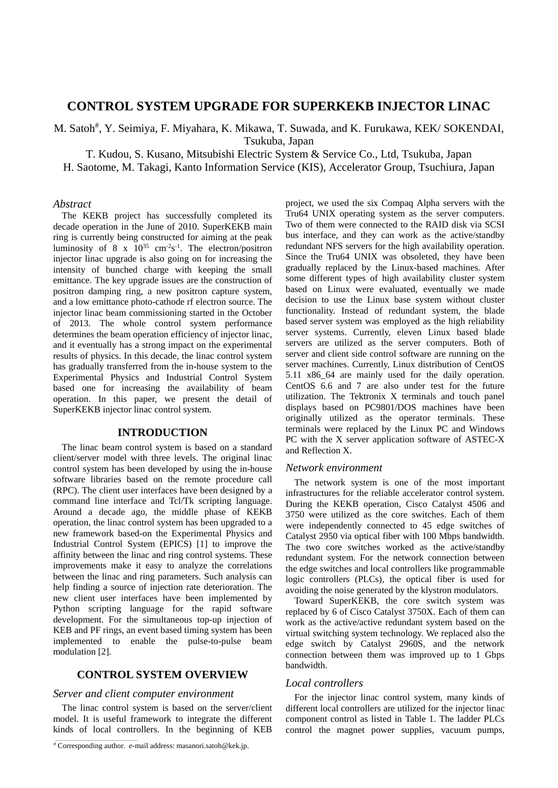# **CONTROL SYSTEM UPGRADE FOR SUPERKEKB INJECTOR LINAC**

M. Satoh<sup>#</sup>, Y. Seimiya, F. Miyahara, K. Mikawa, T. Suwada, and K. Furukawa, KEK/ SOKENDAI, Tsukuba, Japan

T. Kudou, S. Kusano, Mitsubishi Electric System & Service Co., Ltd, Tsukuba, Japan

H. Saotome, M. Takagi, Kanto Information Service (KIS), Accelerator Group, Tsuchiura, Japan

### *Abstract*

The KEKB project has successfully completed its decade operation in the June of 2010. SuperKEKB main ring is currently being constructed for aiming at the peak luminosity of  $8 \times 10^{35}$  cm<sup>-2</sup>s<sup>-1</sup>. The electron/positron injector linac upgrade is also going on for increasing the intensity of bunched charge with keeping the small emittance. The key upgrade issues are the construction of positron damping ring, a new positron capture system, and a low emittance photo-cathode rf electron source. The injector linac beam commissioning started in the October of 2013. The whole control system performance determines the beam operation efficiency of injector linac, and it eventually has a strong impact on the experimental results of physics. In this decade, the linac control system has gradually transferred from the in-house system to the Experimental Physics and Industrial Control System based one for increasing the availability of beam operation. In this paper, we present the detail of SuperKEKB injector linac control system.

### **INTRODUCTION**

The linac beam control system is based on a standard client/server model with three levels. The original linac control system has been developed by using the in-house software libraries based on the remote procedure call (RPC). The client user interfaces have been designed by a command line interface and Tcl/Tk scripting language. Around a decade ago, the middle phase of KEKB operation, the linac control system has been upgraded to a new framework based-on the Experimental Physics and Industrial Control System (EPICS) [1] to improve the affinity between the linac and ring control systems. These improvements make it easy to analyze the correlations between the linac and ring parameters. Such analysis can help finding a source of injection rate deterioration. The new client user interfaces have been implemented by Python scripting language for the rapid software development. For the simultaneous top-up injection of KEB and PF rings, an event based timing system has been implemented to enable the pulse-to-pulse beam modulation [2].

# **CONTROL SYSTEM OVERVIEW**

### *Server and client computer environment*

The linac control system is based on the server/client model. It is useful framework to integrate the different kinds of local controllers. In the beginning of KEB

# Corresponding author. *e*-mail address: masanori.satoh@kek.jp.

project, we used the six Compaq Alpha servers with the Tru64 UNIX operating system as the server computers. Two of them were connected to the RAID disk via SCSI bus interface, and they can work as the active/standby redundant NFS servers for the high availability operation. Since the Tru64 UNIX was obsoleted, they have been gradually replaced by the Linux-based machines. After some different types of high availability cluster system based on Linux were evaluated, eventually we made decision to use the Linux base system without cluster functionality. Instead of redundant system, the blade based server system was employed as the high reliability server systems. Currently, eleven Linux based blade servers are utilized as the server computers. Both of server and client side control software are running on the server machines. Currently, Linux distribution of CentOS 5.11 x86\_64 are mainly used for the daily operation. CentOS 6.6 and 7 are also under test for the future utilization. The Tektronix X terminals and touch panel displays based on PC9801/DOS machines have been originally utilized as the operator terminals. These terminals were replaced by the Linux PC and Windows PC with the X server application software of ASTEC-X and Reflection X.

# *Network environment*

The network system is one of the most important infrastructures for the reliable accelerator control system. During the KEKB operation, Cisco Catalyst 4506 and 3750 were utilized as the core switches. Each of them were independently connected to 45 edge switches of Catalyst 2950 via optical fiber with 100 Mbps bandwidth. The two core switches worked as the active/standby redundant system. For the network connection between the edge switches and local controllers like programmable logic controllers (PLCs), the optical fiber is used for avoiding the noise generated by the klystron modulators.

Toward SuperKEKB, the core switch system was replaced by 6 of Cisco Catalyst 3750X. Each of them can work as the active/active redundant system based on the virtual switching system technology. We replaced also the edge switch by Catalyst 2960S, and the network connection between them was improved up to 1 Gbps bandwidth.

# *Local controllers*

For the injector linac control system, many kinds of different local controllers are utilized for the injector linac component control as listed in Table 1. The ladder PLCs control the magnet power supplies, vacuum pumps,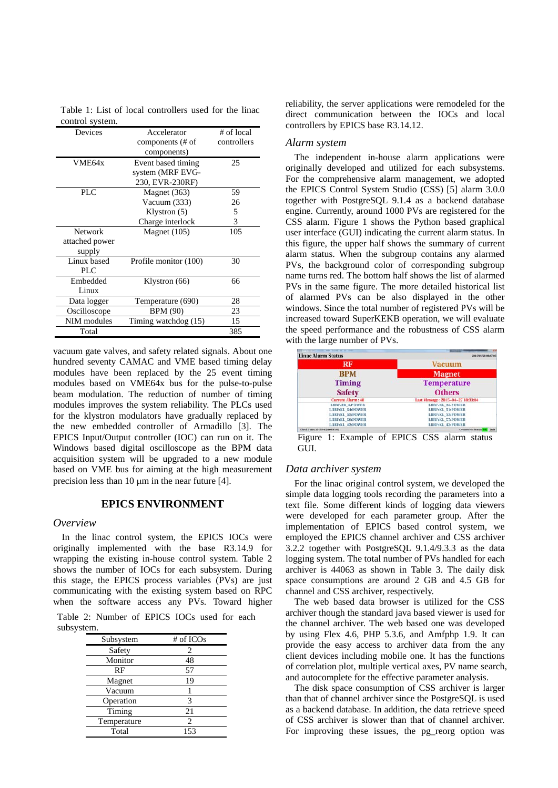Table 1: List of local controllers used for the linac control system.

| Devices        | Accelerator           | # of local  |
|----------------|-----------------------|-------------|
|                | components (# of      | controllers |
|                | components)           |             |
| VME64x         | Event based timing    | 25          |
|                | system (MRF EVG-      |             |
|                | 230, EVR-230RF)       |             |
| PLC            | Magnet (363)          | 59          |
|                | Vacuum (333)          | 26          |
|                | Klystron $(5)$        | 5           |
|                | Charge interlock      | 3           |
| <b>Network</b> | Magnet $(105)$        | 105         |
| attached power |                       |             |
| supply         |                       |             |
| Linux based    | Profile monitor (100) | 30          |
| PLC            |                       |             |
| Embedded       | Klystron (66)         | 66          |
| Linux          |                       |             |
| Data logger    | Temperature (690)     | 28          |
| Oscilloscope   | <b>BPM</b> (90)       | 23          |
| NIM modules    | Timing watchdog (15)  | 15          |
| Total          |                       | 385         |

vacuum gate valves, and safety related signals. About one hundred seventy CAMAC and VME based timing delay modules have been replaced by the 25 event timing modules based on VME64x bus for the pulse-to-pulse beam modulation. The reduction of number of timing modules improves the system reliability. The PLCs used for the klystron modulators have gradually replaced by the new embedded controller of Armadillo [3]. The EPICS Input/Output controller (IOC) can run on it. The Windows based digital oscilloscope as the BPM data acquisition system will be upgraded to a new module based on VME bus for aiming at the high measurement precision less than  $10 \mu m$  in the near future [4].

#### **EPICS ENVIRONMENT**

#### *Overview*

In the linac control system, the EPICS IOCs were originally implemented with the base R3.14.9 for wrapping the existing in-house control system. Table 2 shows the number of IOCs for each subsystem. During this stage, the EPICS process variables (PVs) are just communicating with the existing system based on RPC when the software access any PVs. Toward higher

Table 2: Number of EPICS IOCs used for each subsystem.

| Subsystem   | # of ICOs      |
|-------------|----------------|
| Safety      | 2              |
| Monitor     | 48             |
| RF          | 57             |
| Magnet      | 19             |
| Vacuum      |                |
| Operation   | 3              |
| Timing      | 21             |
| Temperature | $\mathfrak{D}$ |
| Total       | 153            |

reliability, the server applications were remodeled for the direct communication between the IOCs and local controllers by EPICS base R3.14.12.

#### *Alarm system*

The independent in-house alarm applications were originally developed and utilized for each subsystems. For the comprehensive alarm management, we adopted the EPICS Control System Studio (CSS) [5] alarm 3.0.0 together with PostgreSQL 9.1.4 as a backend database engine. Currently, around 1000 PVs are registered for the CSS alarm. Figure 1 shows the Python based graphical user interface (GUI) indicating the current alarm status. In this figure, the upper half shows the summary of current alarm status. When the subgroup contains any alarmed PVs, the background color of corresponding subgroup name turns red. The bottom half shows the list of alarmed PVs in the same figure. The more detailed historical list of alarmed PVs can be also displayed in the other windows. Since the total number of registered PVs will be increased toward SuperKEKB operation, we will evaluate the speed performance and the robustness of CSS alarm with the large number of PVs.

| <b>Linac Alarm Status</b>       |                                   |
|---------------------------------|-----------------------------------|
| RF                              | <b>Vacuum</b>                     |
| <b>BPM</b>                      | <b>Magnet</b>                     |
| <b>Timing</b>                   | <b>Temperature</b>                |
| <b>Safety</b>                   | <b>Others</b>                     |
| <b>Current Alarm: 48</b>        | Last Message: 2015-04-27 18:33:04 |
| <b>LIRESB 4:POWER</b>           | LIBERKL 52:POWER                  |
| LIIRF:KL 54:POWER               | <b>LIIRE:KL 51:POWER</b>          |
| LIIRF:KL 55:POWER               | <b>LIIRF:KL 53:POWER</b>          |
| LIRF:KL 56:POWER                | <b>LIIRF:KL 57:POWER</b>          |
| LIIRF:KL 43:POWER               | LIIRF:KL 42:POWER                 |
| Check Thuse 2015/04/28 08:47:02 | <b>Connection Status:</b><br>Oult |

Figure 1: Example of EPICS CSS alarm status GUI.

### *Data archiver system*

For the linac original control system, we developed the simple data logging tools recording the parameters into a text file. Some different kinds of logging data viewers were developed for each parameter group. After the implementation of EPICS based control system, we employed the EPICS channel archiver and CSS archiver 3.2.2 together with PostgreSQL 9.1.4/9.3.3 as the data logging system. The total number of PVs handled for each archiver is 44063 as shown in Table 3. The daily disk space consumptions are around 2 GB and 4.5 GB for channel and CSS archiver, respectively.

The web based data browser is utilized for the CSS archiver though the standard java based viewer is used for the channel archiver. The web based one was developed by using Flex 4.6, PHP 5.3.6, and Amfphp 1.9. It can provide the easy access to archiver data from the any client devices including mobile one. It has the functions of correlation plot, multiple vertical axes, PV name search, and autocomplete for the effective parameter analysis.

The disk space consumption of CSS archiver is larger than that of channel archiver since the PostgreSQL is used as a backend database. In addition, the data retrieve speed of CSS archiver is slower than that of channel archiver. For improving these issues, the pg\_reorg option was